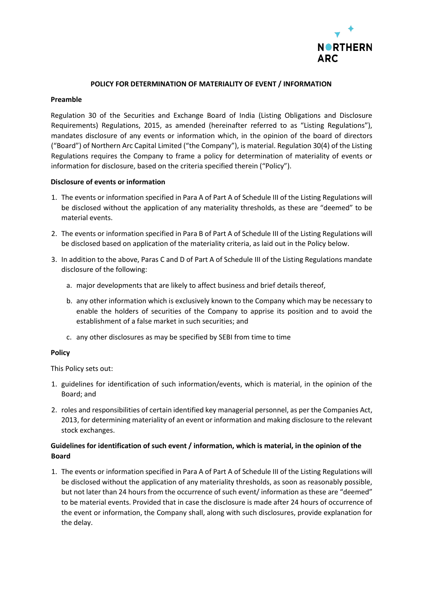

### **POLICY FOR DETERMINATION OF MATERIALITY OF EVENT / INFORMATION**

#### **Preamble**

Regulation 30 of the Securities and Exchange Board of India (Listing Obligations and Disclosure Requirements) Regulations, 2015, as amended (hereinafter referred to as "Listing Regulations"), mandates disclosure of any events or information which, in the opinion of the board of directors ("Board") of Northern Arc Capital Limited ("the Company"), is material. Regulation 30(4) of the Listing Regulations requires the Company to frame a policy for determination of materiality of events or information for disclosure, based on the criteria specified therein ("Policy").

#### **Disclosure of events or information**

- 1. The events or information specified in Para A of Part A of Schedule III of the Listing Regulations will be disclosed without the application of any materiality thresholds, as these are "deemed" to be material events.
- 2. The events or information specified in Para B of Part A of Schedule III of the Listing Regulations will be disclosed based on application of the materiality criteria, as laid out in the Policy below.
- 3. In addition to the above, Paras C and D of Part A of Schedule III of the Listing Regulations mandate disclosure of the following:
	- a. major developments that are likely to affect business and brief details thereof,
	- b. any other information which is exclusively known to the Company which may be necessary to enable the holders of securities of the Company to apprise its position and to avoid the establishment of a false market in such securities; and
	- c. any other disclosures as may be specified by SEBI from time to time

#### **Policy**

This Policy sets out:

- 1. guidelines for identification of such information/events, which is material, in the opinion of the Board; and
- 2. roles and responsibilities of certain identified key managerial personnel, as per the Companies Act, 2013, for determining materiality of an event or information and making disclosure to the relevant stock exchanges.

# **Guidelines for identification of such event / information, which is material, in the opinion of the Board**

1. The events or information specified in Para A of Part A of Schedule III of the Listing Regulations will be disclosed without the application of any materiality thresholds, as soon as reasonably possible, but not later than 24 hours from the occurrence of such event/ information as these are "deemed" to be material events. Provided that in case the disclosure is made after 24 hours of occurrence of the event or information, the Company shall, along with such disclosures, provide explanation for the delay.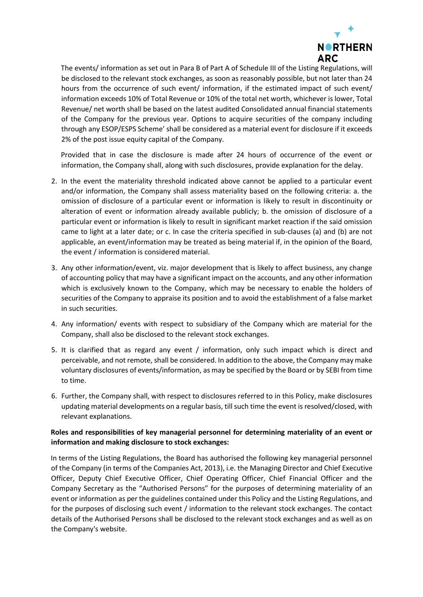

The events/ information as set out in Para B of Part A of Schedule III of the Listing Regulations, will be disclosed to the relevant stock exchanges, as soon as reasonably possible, but not later than 24 hours from the occurrence of such event/ information, if the estimated impact of such event/ information exceeds 10% of Total Revenue or 10% of the total net worth, whichever is lower, Total Revenue/ net worth shall be based on the latest audited Consolidated annual financial statements of the Company for the previous year. Options to acquire securities of the company including through any ESOP/ESPS Scheme' shall be considered as a material event for disclosure if it exceeds 2% of the post issue equity capital of the Company.

Provided that in case the disclosure is made after 24 hours of occurrence of the event or information, the Company shall, along with such disclosures, provide explanation for the delay.

- 2. In the event the materiality threshold indicated above cannot be applied to a particular event and/or information, the Company shall assess materiality based on the following criteria: a. the omission of disclosure of a particular event or information is likely to result in discontinuity or alteration of event or information already available publicly; b. the omission of disclosure of a particular event or information is likely to result in significant market reaction if the said omission came to light at a later date; or c. In case the criteria specified in sub-clauses (a) and (b) are not applicable, an event/information may be treated as being material if, in the opinion of the Board, the event / information is considered material.
- 3. Any other information/event, viz. major development that is likely to affect business, any change of accounting policy that may have a significant impact on the accounts, and any other information which is exclusively known to the Company, which may be necessary to enable the holders of securities of the Company to appraise its position and to avoid the establishment of a false market in such securities.
- 4. Any information/ events with respect to subsidiary of the Company which are material for the Company, shall also be disclosed to the relevant stock exchanges.
- 5. It is clarified that as regard any event / information, only such impact which is direct and perceivable, and not remote, shall be considered. In addition to the above, the Company may make voluntary disclosures of events/information, as may be specified by the Board or by SEBI from time to time.
- 6. Further, the Company shall, with respect to disclosures referred to in this Policy, make disclosures updating material developments on a regular basis, till such time the event is resolved/closed, with relevant explanations.

# **Roles and responsibilities of key managerial personnel for determining materiality of an event or information and making disclosure to stock exchanges:**

In terms of the Listing Regulations, the Board has authorised the following key managerial personnel of the Company (in terms of the Companies Act, 2013), i.e. the Managing Director and Chief Executive Officer, Deputy Chief Executive Officer, Chief Operating Officer, Chief Financial Officer and the Company Secretary as the "Authorised Persons" for the purposes of determining materiality of an event or information as per the guidelines contained under this Policy and the Listing Regulations, and for the purposes of disclosing such event / information to the relevant stock exchanges. The contact details of the Authorised Persons shall be disclosed to the relevant stock exchanges and as well as on the Company's website.